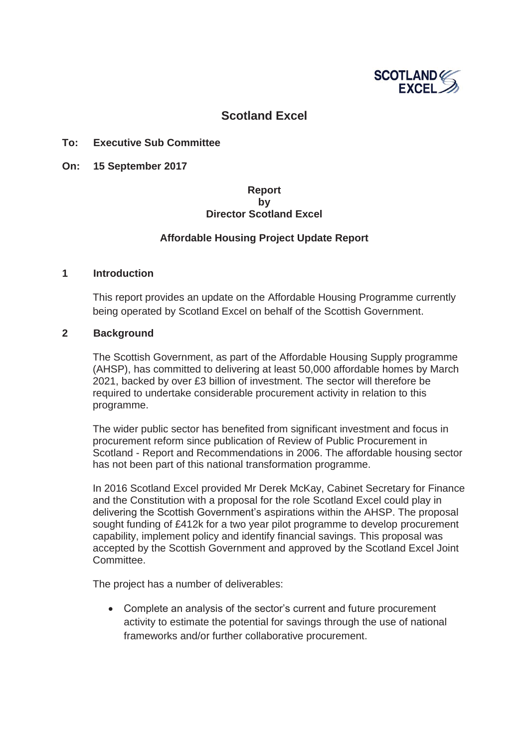

# **Scotland Excel**

#### **To: Executive Sub Committee**

**On: 15 September 2017** 

### **Report by Director Scotland Excel**

### **Affordable Housing Project Update Report**

#### **1 Introduction**

This report provides an update on the Affordable Housing Programme currently being operated by Scotland Excel on behalf of the Scottish Government.

### **2 Background**

The Scottish Government, as part of the Affordable Housing Supply programme (AHSP), has committed to delivering at least 50,000 affordable homes by March 2021, backed by over £3 billion of investment. The sector will therefore be required to undertake considerable procurement activity in relation to this programme.

The wider public sector has benefited from significant investment and focus in procurement reform since publication of Review of Public Procurement in Scotland - Report and Recommendations in 2006. The affordable housing sector has not been part of this national transformation programme.

In 2016 Scotland Excel provided Mr Derek McKay, Cabinet Secretary for Finance and the Constitution with a proposal for the role Scotland Excel could play in delivering the Scottish Government's aspirations within the AHSP. The proposal sought funding of £412k for a two year pilot programme to develop procurement capability, implement policy and identify financial savings. This proposal was accepted by the Scottish Government and approved by the Scotland Excel Joint Committee.

The project has a number of deliverables:

• Complete an analysis of the sector's current and future procurement activity to estimate the potential for savings through the use of national frameworks and/or further collaborative procurement.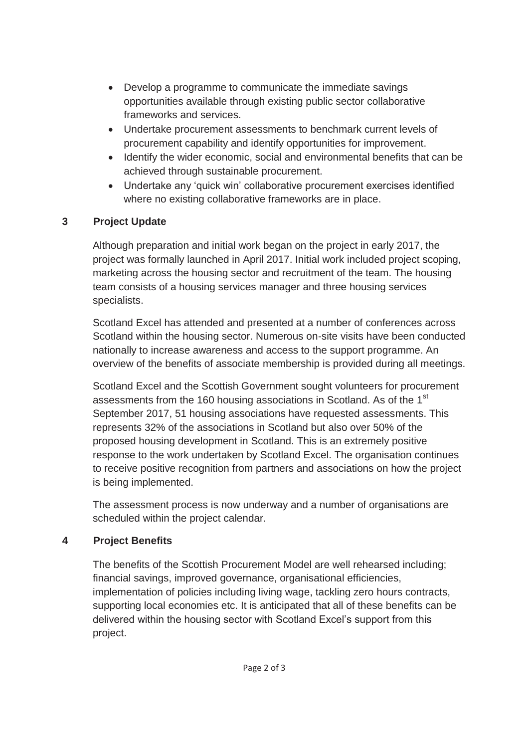- Develop a programme to communicate the immediate savings opportunities available through existing public sector collaborative frameworks and services.
- Undertake procurement assessments to benchmark current levels of procurement capability and identify opportunities for improvement.
- Identify the wider economic, social and environmental benefits that can be achieved through sustainable procurement.
- Undertake any 'quick win' collaborative procurement exercises identified where no existing collaborative frameworks are in place.

# **3 Project Update**

Although preparation and initial work began on the project in early 2017, the project was formally launched in April 2017. Initial work included project scoping, marketing across the housing sector and recruitment of the team. The housing team consists of a housing services manager and three housing services specialists.

Scotland Excel has attended and presented at a number of conferences across Scotland within the housing sector. Numerous on-site visits have been conducted nationally to increase awareness and access to the support programme. An overview of the benefits of associate membership is provided during all meetings.

Scotland Excel and the Scottish Government sought volunteers for procurement assessments from the 160 housing associations in Scotland. As of the 1<sup>st</sup> September 2017, 51 housing associations have requested assessments. This represents 32% of the associations in Scotland but also over 50% of the proposed housing development in Scotland. This is an extremely positive response to the work undertaken by Scotland Excel. The organisation continues to receive positive recognition from partners and associations on how the project is being implemented.

The assessment process is now underway and a number of organisations are scheduled within the project calendar.

# **4 Project Benefits**

The benefits of the Scottish Procurement Model are well rehearsed including; financial savings, improved governance, organisational efficiencies, implementation of policies including living wage, tackling zero hours contracts, supporting local economies etc. It is anticipated that all of these benefits can be delivered within the housing sector with Scotland Excel's support from this project.